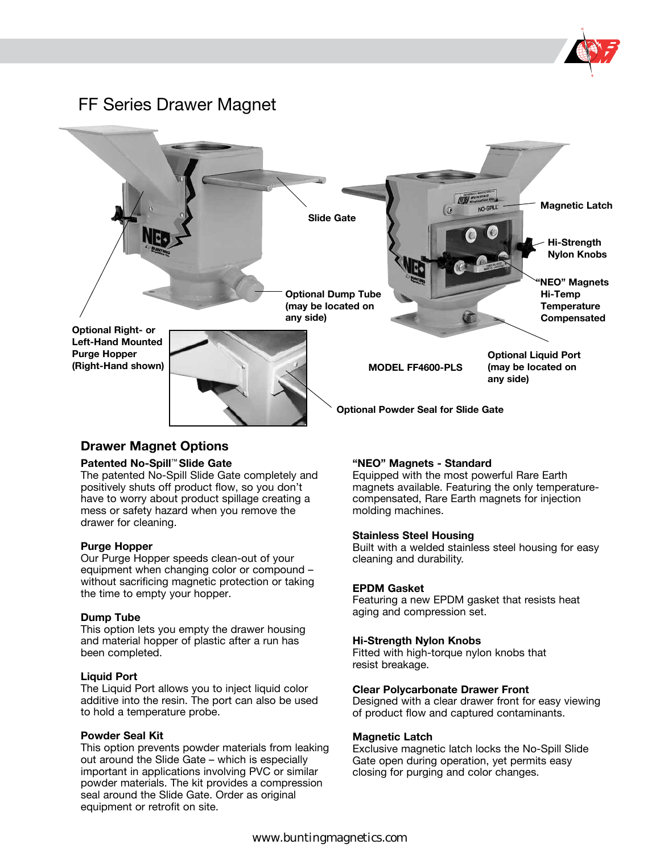

### FF Series Drawer Magnet



### **Drawer Magnet Options**

#### **Patented No-Spill**™ **Slide Gate**

The patented No-Spill Slide Gate completely and positively shuts off product flow, so you don't have to worry about product spillage creating a mess or safety hazard when you remove the drawer for cleaning.

#### **Purge Hopper**

Our Purge Hopper speeds clean-out of your equipment when changing color or compound – without sacrificing magnetic protection or taking the time to empty your hopper.

#### **Dump Tube**

This option lets you empty the drawer housing and material hopper of plastic after a run has been completed.

#### **Liquid Port**

The Liquid Port allows you to inject liquid color additive into the resin. The port can also be used to hold a temperature probe.

#### **Powder Seal Kit**

This option prevents powder materials from leaking out around the Slide Gate – which is especially important in applications involving PVC or similar powder materials. The kit provides a compression seal around the Slide Gate. Order as original equipment or retrofit on site.

#### **"NEO" Magnets - Standard**

Equipped with the most powerful Rare Earth magnets available. Featuring the only temperaturecompensated, Rare Earth magnets for injection molding machines.

#### **Stainless Steel Housing**

Built with a welded stainless steel housing for easy cleaning and durability.

#### **EPDM Gasket**

Featuring a new EPDM gasket that resists heat aging and compression set.

#### **Hi-Strength Nylon Knobs**

Fitted with high-torque nylon knobs that resist breakage.

#### **Clear Polycarbonate Drawer Front**

Designed with a clear drawer front for easy viewing of product flow and captured contaminants.

#### **Magnetic Latch**

Exclusive magnetic latch locks the No-Spill Slide Gate open during operation, yet permits easy closing for purging and color changes.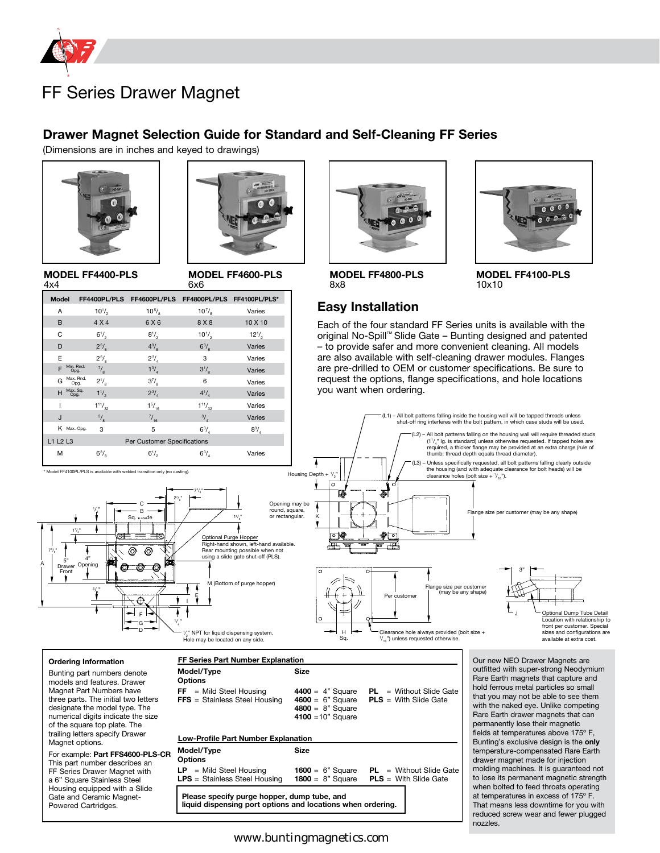

#### **Drawer Magnet Selection Guide for Standard and Self-Cleaning FF Series**

(Dimensions are in inches and keyed to drawings)





**MODEL FF4400-PLS**  $A \vee A$ 

**MODEL FF4600-PLS**   $6x6$ 

| .                                       |                                    |                                                      | -                 |              |
|-----------------------------------------|------------------------------------|------------------------------------------------------|-------------------|--------------|
| <b>Model</b>                            |                                    | FF4400PL/PLS FF4600PL/PLS FF4800PL/PLS FF4100PL/PLS* |                   |              |
| A                                       | $10^{1/2}$                         | $10^{5/6}$                                           | $10^{7}/_{\circ}$ | Varies       |
| B                                       | 4 X 4                              | 6 X 6                                                | 8 X 8             | 10 X 10      |
| C                                       | $6^{1}/_{2}$                       | $8^{1/2}$                                            | $10^{1/2}$        | $12^{1/2}$   |
| D                                       | $2^{5/2}$                          | $4^{3}/_{\circ}$                                     | $6^{3}/_{\circ}$  | Varies       |
| E                                       | $2^{5/2}$                          | $2^{3}/_{4}$                                         | 3                 | Varies       |
| F                                       | Min. Rnd.<br>$\frac{7}{8}$<br>Opg. | $1^{3}/_{4}$                                         | $3^{1}/_{8}$      | Varies       |
| G                                       | Max. Rnd.<br>$2^{1/3}$<br>Opg.     | $3^{7}/_{\rm s}$                                     | 6                 | Varies       |
| $H^{Max. Sq.}$                          | $1^{1}/_{2}$                       | $2^{3}/_{4}$                                         | $4^{1}/_{4}$      | Varies       |
|                                         | $1^{11}/_{32}$                     | $1^{5}/_{16}$                                        | $1^{11}/_{32}$    | Varies       |
| J                                       | $\frac{3}{8}$                      | $^{7/16}$                                            | $\frac{3}{4}$     | Varies       |
| K Max. Opg.                             | 3                                  | 5                                                    | $6^{3}/_{4}$      | $8^{3}/_{4}$ |
| L1 L2 L3<br>Per Customer Specifications |                                    |                                                      |                   |              |
| М                                       | $6^{3}/_{\rm g}$                   | $6^{1/2}$                                            | $6^{3}/_{4}$      | Varies       |

\* Model FF4100PL/PLS is available with welded transition only (no casting).



**MODEL FF4800-PLS** 8x8



**MODEL FF4100-PLS** 10x10

#### **Easy Installation**

Each of the four standard FF Series units is available with the original No-Spill™ Slide Gate – Bunting designed and patented – to provide safer and more convenient cleaning. All models are also available with self-cleaning drawer modules. Flanges are pre-drilled to OEM or customer specifications. Be sure to request the options, flange specifications, and hole locations you want when ordering.



#### **Ordering Information**

11 /4 "

A 73 8 " 5" Drawer Front

/4 "

5 /<br>ይ "

4" Opening

Bunting part numbers denote models and features. Drawer Magnet Part Numbers have three parts. The initial two letters designate the model type. The numerical digits indicate the size of the square top plate. The trailing letters specify Drawer Magnet options.

For example: **Part FFS4600-PLS-CR** This part number describes an FF Series Drawer Magnet with a 6" Square Stainless Steel Housing equipped with a Slide Gate and Ceramic Magnet-Powered Cartridges.

| FF Series Part Number Explanation                                                                          |                                                                        |                                                                                 |  |  |  |
|------------------------------------------------------------------------------------------------------------|------------------------------------------------------------------------|---------------------------------------------------------------------------------|--|--|--|
| Model/Type<br>Options                                                                                      | <b>Size</b>                                                            |                                                                                 |  |  |  |
| $FF =$ Mild Steel Housing<br><b>FFS</b> = Stainless Steel Housing                                          | <b>4400</b> = $4"$ Square<br>$4800 = 8"$ Square<br>4100 = $10"$ Square | $PL = Without Slide Gate$<br>$4600 = 6$ " Square PLS = With Slide Gate          |  |  |  |
| <b>Low-Profile Part Number Explanation</b>                                                                 |                                                                        |                                                                                 |  |  |  |
| Model/Type<br>Options                                                                                      | Size                                                                   |                                                                                 |  |  |  |
| $LP$ = Mild Steel Housing<br><b>LPS</b> = Stainless Steel Housing                                          | <b>1800</b> = $8"$ Square                                              | <b>1600</b> = $6$ " Square $PL =$ Without Slide Gate<br>$PLS = With Slide Gate$ |  |  |  |
| Please specify purge hopper, dump tube, and<br>liquid dispensing port options and locations when ordering. |                                                                        |                                                                                 |  |  |  |

outfitted with super-strong Neodymium Rare Earth magnets that capture and hold ferrous metal particles so small that you may not be able to see them with the naked eye. Unlike competing Rare Earth drawer magnets that can permanently lose their magnetic fields at temperatures above 175º F, Bunting's exclusive design is the **only** temperature-compensated Rare Earth drawer magnet made for injection molding machines. It is guaranteed not to lose its permanent magnetic strength when bolted to feed throats operating at temperatures in excess of 175º F. That means less downtime for you with reduced screw wear and fewer plugged nozzles.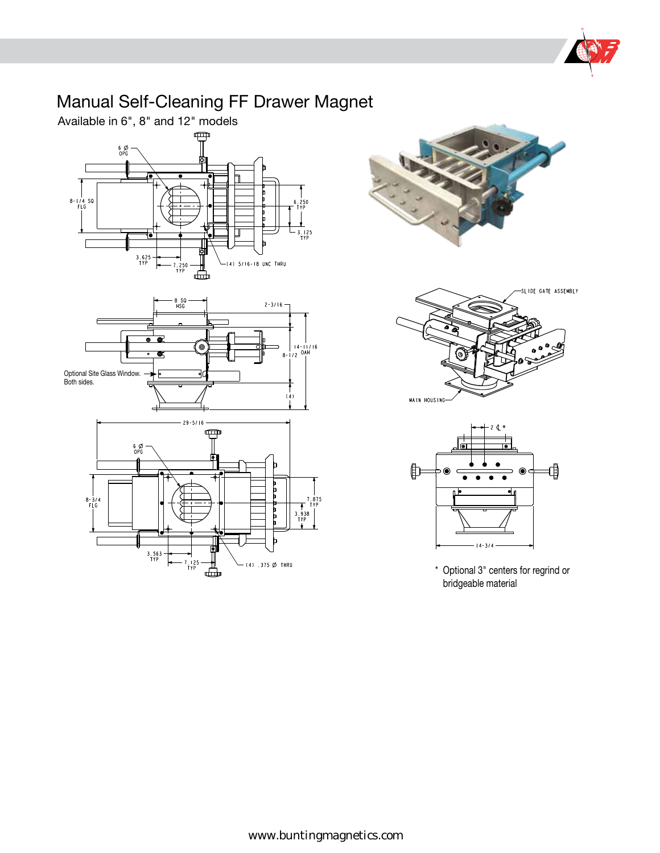

# Manual Self-Cleaning FF Drawer Magnet

Available in 6", 8" and 12" models













\* Optional 3" centers for regrind or bridgeable material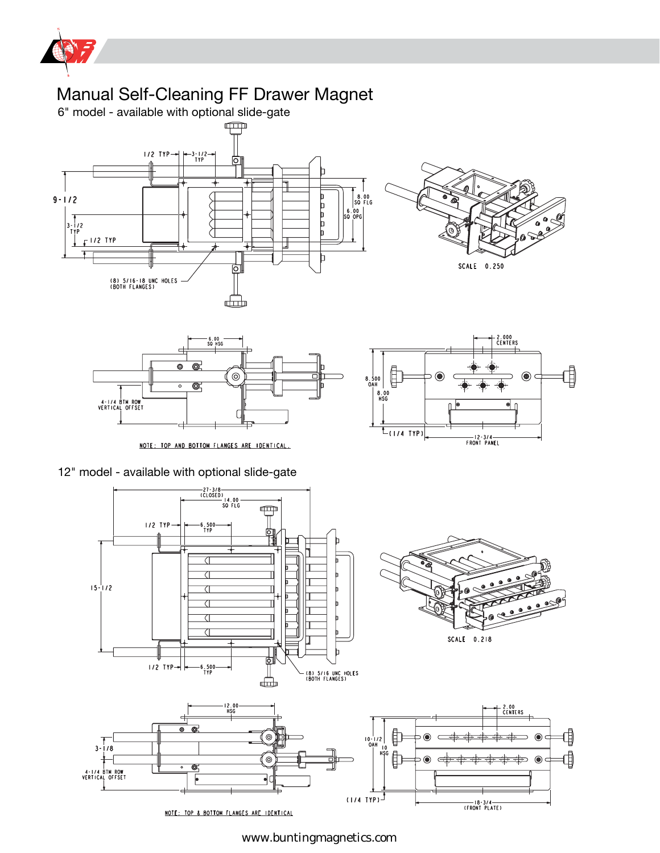

www.buntingmagnetics.com